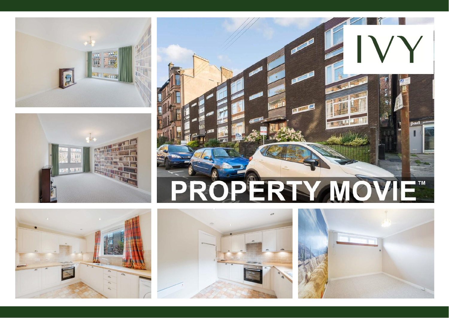









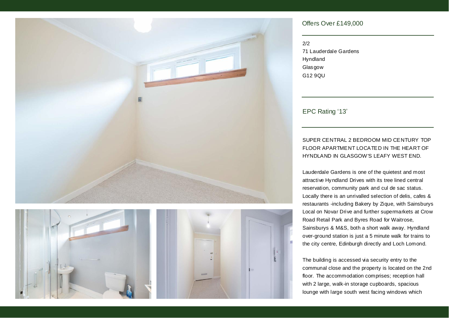



## Offers Over £149,000

2/2 71 Lauderdale Gardens Hyndland **Glasgow** G12 9QU

EPC Rating '13'

## SUPER CENTRAL 2 BEDROOM MID CENTURY TOP FLOOR APARTMENT LOCATED IN THE HEART OF HYNDLAND IN GLASGOW'S LEAFY WEST END.

Lauderdale Gardens is one of the quietest and most attractive Hyndland Drives with its tree lined central reservation, community park and cul de sac status. Locally there is an unrivalled selection of delis, cafes & restaurants -including Bakery by Zique, with Sainsburys Local on Novar Drive and further supermarkets at Crow Road Retail Park and Byres Road for Waitrose, Sainsburys & M&S, both a short walk away. Hyndland over-ground station is just a 5 minute walk for trains to the city centre, Edinburgh directly and Loch Lomond.

The building is accessed via security entry to the communal close and the property is located on the 2nd floor. The accommodation comprises; reception hall with 2 large, walk-in storage cupboards, spacious lounge with large south west facing windows which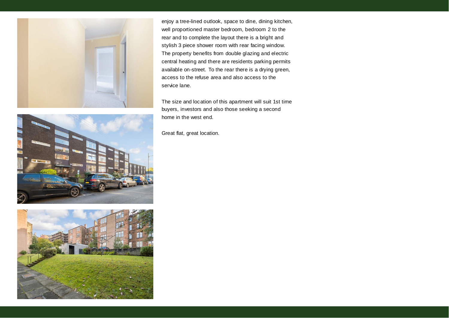



enjoy a tree-lined outlook, space to dine, dining kitchen, well proportioned master bedroom, bedroom 2 to the rear and to complete the layout there is a bright and stylish 3 piece shower room with rear facing window. The property benefits from double glazing and electric central heating and there are residents parking permits available on-street. To the rear there is a drying green, access to the refuse area and also access to the service lane.

The size and location of this apartment will suit 1st time buyers, investors and also those seeking a second home in the west end.

Great flat, great location.